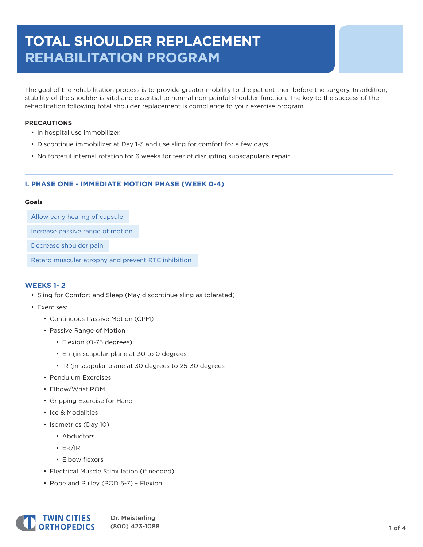# **TOTAL SHOULDER REPLACEMENT REHABILITATION PROGRAM**

The goal of the rehabilitation process is to provide greater mobility to the patient then before the surgery. In addition, stability of the shoulder is vital and essential to normal non-painful shoulder function. The key to the success of the rehabilitation following total shoulder replacement is compliance to your exercise program.

#### **PRECAUTIONS**

- In hospital use immobilizer.
- Discontinue immobilizer at Day 1-3 and use sling for comfort for a few days
- No forceful internal rotation for 6 weeks for fear of disrupting subscapularis repair

## **I. PHASE ONE - IMMEDIATE MOTION PHASE (WEEK 0-4)**

#### **Goals**

Allow early healing of capsule

Increase passive range of motion

Decrease shoulder pain

Retard muscular atrophy and prevent RTC inhibition

#### **WEEKS 1- 2**

- Sling for Comfort and Sleep (May discontinue sling as tolerated)
- Exercises:
	- Continuous Passive Motion (CPM)
	- Passive Range of Motion
		- Flexion (0-75 degrees)
		- ER (in scapular plane at 30 to 0 degrees
		- IR (in scapular plane at 30 degrees to 25-30 degrees
	- Pendulum Exercises
	- Elbow/Wrist ROM
	- Gripping Exercise for Hand
	- Ice & Modalities
	- Isometrics (Day 10)
		- Abductors
		- ER/IR
		- Elbow flexors
	- Electrical Muscle Stimulation (if needed)
	- Rope and Pulley (POD 5-7) Flexion

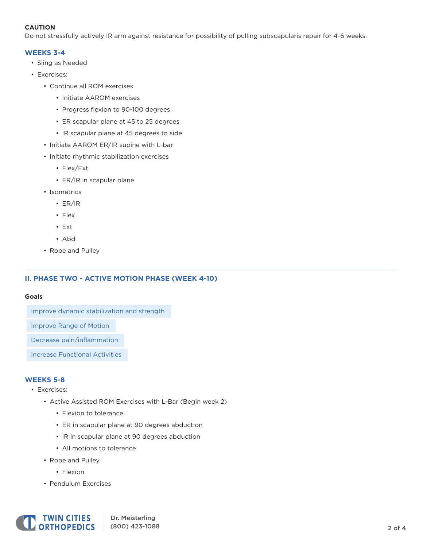## **CAUTION**

Do not stressfully actively IR arm against resistance for possibility of pulling subscapularis repair for 4-6 weeks.

## **WEEKS 3-4**

- Sling as Needed
- Exercises:
	- Continue all ROM exercises
		- Initiate AAROM exercises
		- Progress flexion to 90-100 degrees
		- ER scapular plane at 45 to 25 degrees
		- IR scapular plane at 45 degrees to side
	- Initiate AAROM ER/IR supine with L-bar
	- Initiate rhythmic stabilization exercises
		- Flex/Ext
		- ER/IR in scapular plane
	- Isometrics
		- ER/IR
		- Flex
		- Ext
		- Abd
	- Rope and Pulley

## **II. PHASE TWO - ACTIVE MOTION PHASE (WEEK 4-10)**

#### **Goals**

Improve dynamic stabilization and strength

Improve Range of Motion

Decrease pain/inflammation

Increase Functional Activities

## **WEEKS 5-8**

- Exercises:
	- Active Assisted ROM Exercises with L-Bar (Begin week 2)
		- Flexion to tolerance
		- ER in scapular plane at 90 degrees abduction
		- IR in scapular plane at 90 degrees abduction
		- All motions to tolerance
	- Rope and Pulley
		- Flexion
	- Pendulum Exercises

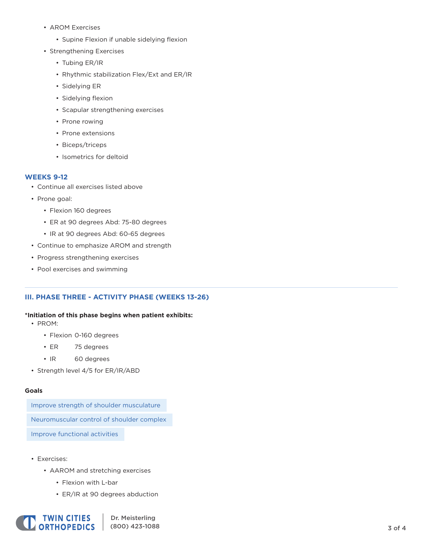- AROM Exercises
	- Supine Flexion if unable sidelying flexion
- Strengthening Exercises
	- Tubing ER/IR
	- Rhythmic stabilization Flex/Ext and ER/IR
	- Sidelying ER
	- Sidelying flexion
	- Scapular strengthening exercises
	- Prone rowing
	- Prone extensions
	- Biceps/triceps
	- Isometrics for deltoid

## **WEEKS 9-12**

- Continue all exercises listed above
- Prone goal:
	- Flexion 160 degrees
	- ER at 90 degrees Abd: 75-80 degrees
	- IR at 90 degrees Abd: 60-65 degrees
- Continue to emphasize AROM and strength
- Progress strengthening exercises
- Pool exercises and swimming

## **III. PHASE THREE - ACTIVITY PHASE (WEEKS 13-26)**

#### **\*Initiation of this phase begins when patient exhibits:**

- PROM:
	- Flexion 0-160 degrees
	- ER 75 degrees
	- IR 60 degrees
- Strength level 4/5 for ER/IR/ABD

#### **Goals**

Improve strength of shoulder musculature

Neuromuscular control of shoulder complex

Improve functional activities

- Exercises:
	- AAROM and stretching exercises
		- Flexion with L-bar
		- ER/IR at 90 degrees abduction